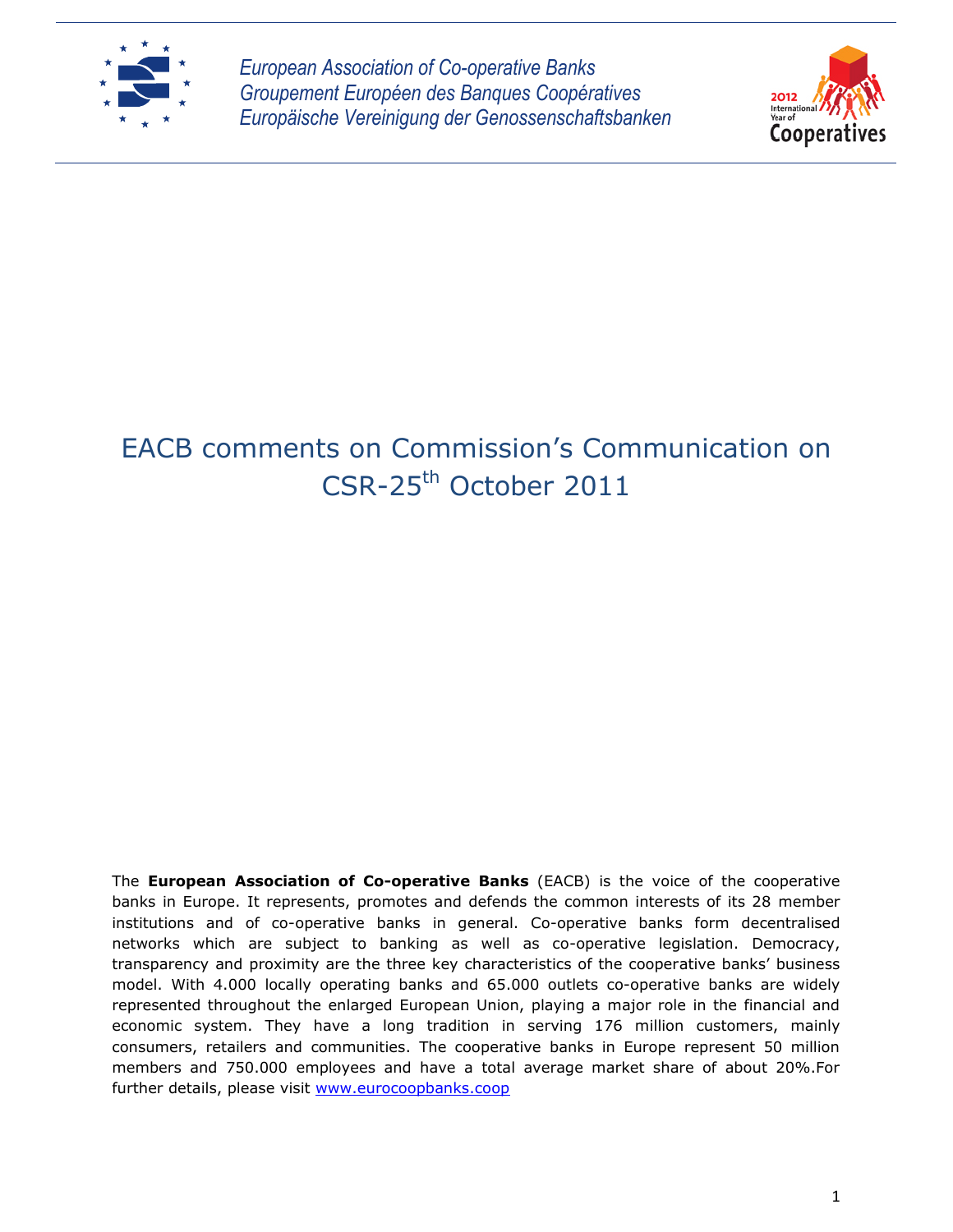

*European Association of Co-operative Banks Groupement Européen des Banques Coopératives Europäische Vereinigung der Genossenschaftsbanken*



# EACB comments on Commission's Communication on CSR-25th October 2011

The **European Association of Co-operative Banks** (EACB) is the voice of the cooperative banks in Europe. It represents, promotes and defends the common interests of its 28 member institutions and of co-operative banks in general. Co-operative banks form decentralised networks which are subject to banking as well as co-operative legislation. Democracy, transparency and proximity are the three key characteristics of the cooperative banks' business model. With 4.000 locally operating banks and 65.000 outlets co-operative banks are widely represented throughout the enlarged European Union, playing a major role in the financial and economic system. They have a long tradition in serving 176 million customers, mainly consumers, retailers and communities. The cooperative banks in Europe represent 50 million members and 750.000 employees and have a total average market share of about 20%.For further details, please visit [www.eurocoopbanks.coop](http://www.eurocoopbanks.coop/)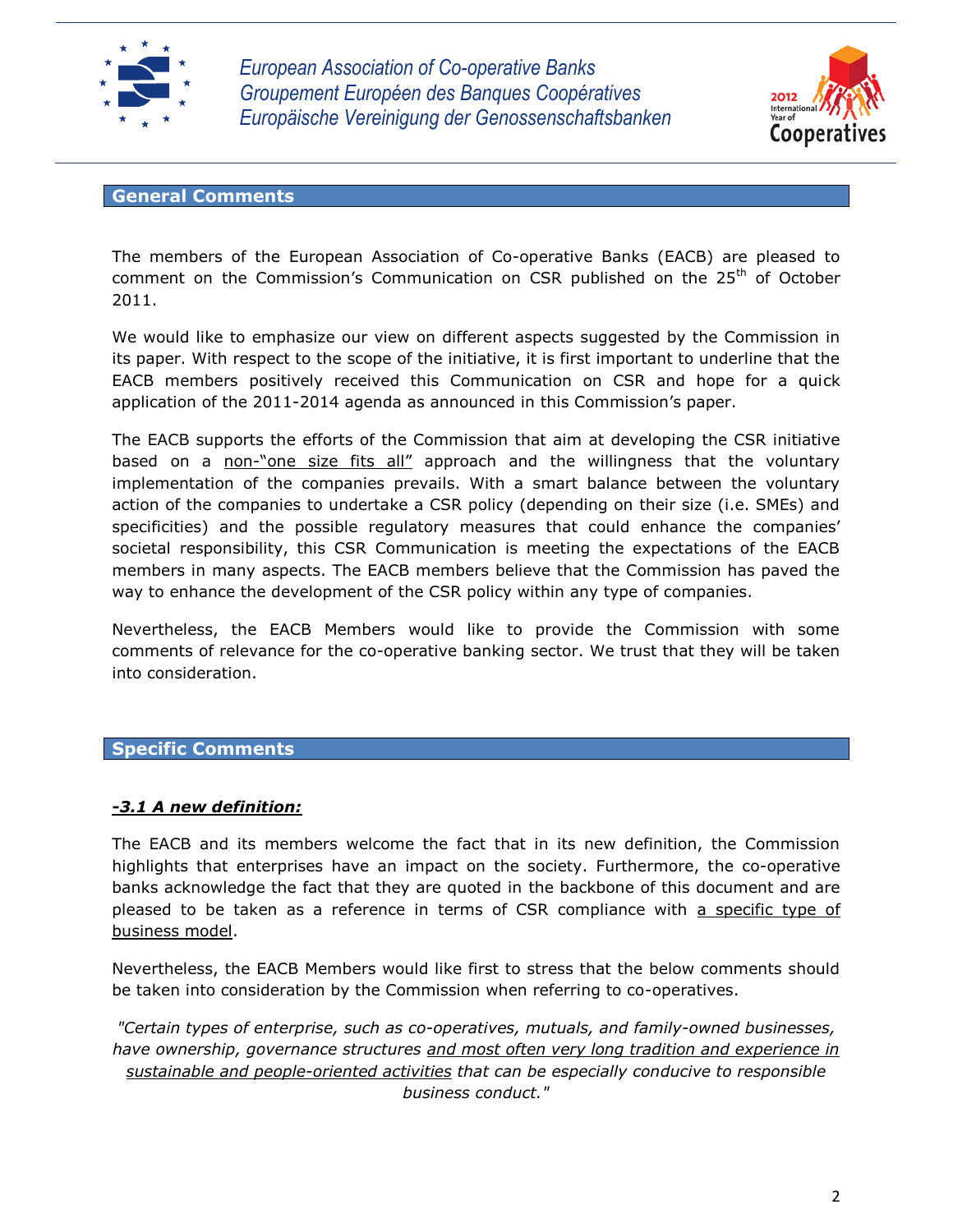

*European Association of Co-operative Banks Groupement Européen des Banques Coopératives Europäische Vereinigung der Genossenschaftsbanken*



## **General Comments**

The members of the European Association of Co-operative Banks (EACB) are pleased to comment on the Commission's Communication on CSR published on the  $25<sup>th</sup>$  of October 2011.

We would like to emphasize our view on different aspects suggested by the Commission in its paper. With respect to the scope of the initiative, it is first important to underline that the EACB members positively received this Communication on CSR and hope for a quick application of the 2011-2014 agenda as announced in this Commission's paper.

The EACB supports the efforts of the Commission that aim at developing the CSR initiative based on a non-"one size fits all" approach and the willingness that the voluntary implementation of the companies prevails. With a smart balance between the voluntary action of the companies to undertake a CSR policy (depending on their size (i.e. SMEs) and specificities) and the possible regulatory measures that could enhance the companies' societal responsibility, this CSR Communication is meeting the expectations of the EACB members in many aspects. The EACB members believe that the Commission has paved the way to enhance the development of the CSR policy within any type of companies.

Nevertheless, the EACB Members would like to provide the Commission with some comments of relevance for the co-operative banking sector. We trust that they will be taken into consideration.

## **Specific Comments**

## *-3.1 A new definition:*

The EACB and its members welcome the fact that in its new definition, the Commission highlights that enterprises have an impact on the society. Furthermore, the co-operative banks acknowledge the fact that they are quoted in the backbone of this document and are pleased to be taken as a reference in terms of CSR compliance with a specific type of business model.

Nevertheless, the EACB Members would like first to stress that the below comments should be taken into consideration by the Commission when referring to co-operatives.

*"Certain types of enterprise, such as co-operatives, mutuals, and family-owned businesses, have ownership, governance structures and most often very long tradition and experience in sustainable and people-oriented activities that can be especially conducive to responsible business conduct."*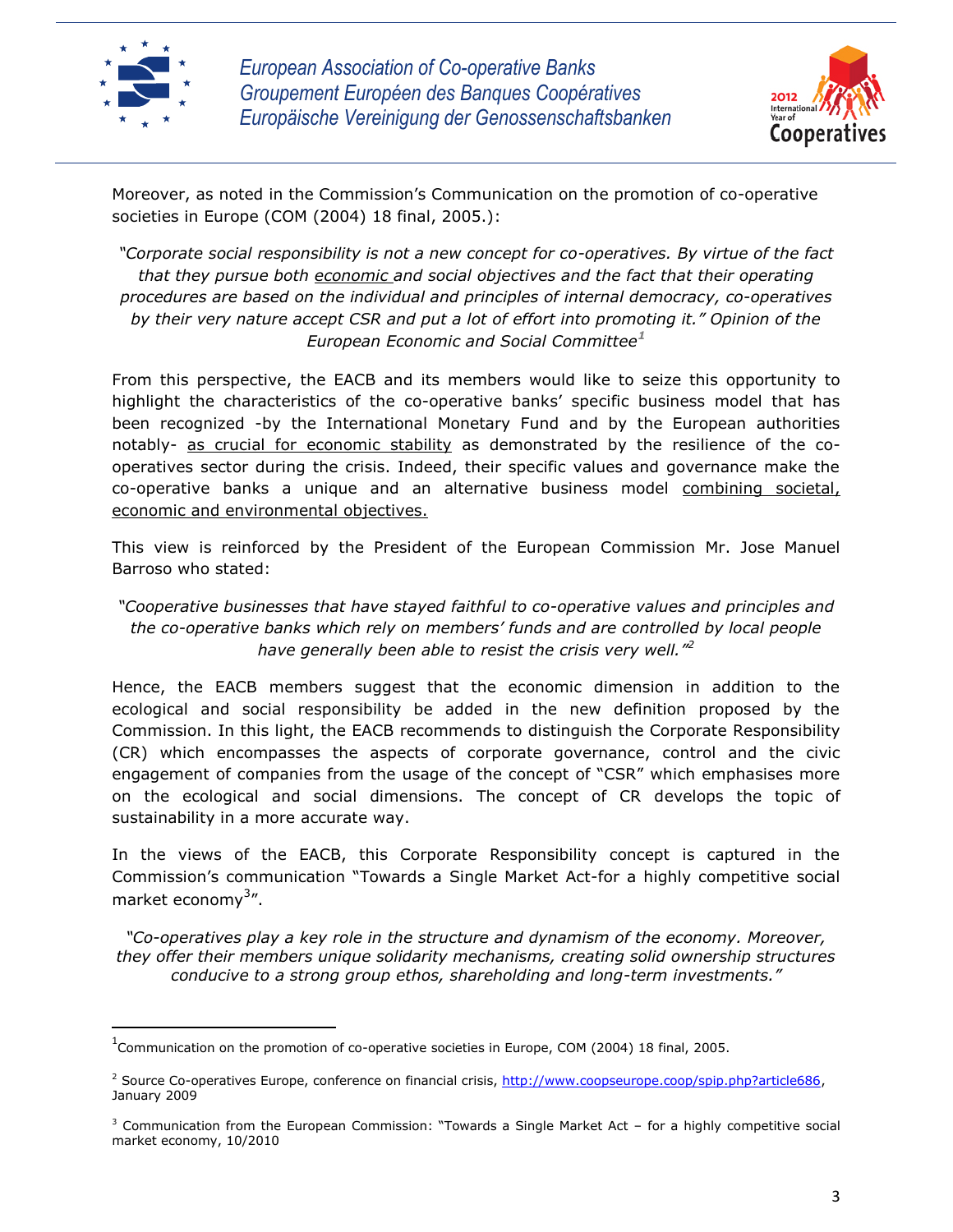

l



Moreover, as noted in the Commission's Communication on the promotion of co-operative societies in Europe (COM (2004) 18 final, 2005.):

*"Corporate social responsibility is not a new concept for co-operatives. By virtue of the fact that they pursue both economic and social objectives and the fact that their operating procedures are based on the individual and principles of internal democracy, co-operatives by their very nature accept CSR and put a lot of effort into promoting it." Opinion of the European Economic and Social Committee<sup>1</sup>*

From this perspective, the EACB and its members would like to seize this opportunity to highlight the characteristics of the co-operative banks' specific business model that has been recognized -by the International Monetary Fund and by the European authorities notably- as crucial for economic stability as demonstrated by the resilience of the cooperatives sector during the crisis. Indeed, their specific values and governance make the co-operative banks a unique and an alternative business model combining societal, economic and environmental objectives.

This view is reinforced by the President of the European Commission Mr. Jose Manuel Barroso who stated:

*"Cooperative businesses that have stayed faithful to co-operative values and principles and the co-operative banks which rely on members' funds and are controlled by local people have generally been able to resist the crisis very well."<sup>2</sup>*

Hence, the EACB members suggest that the economic dimension in addition to the ecological and social responsibility be added in the new definition proposed by the Commission. In this light, the EACB recommends to distinguish the Corporate Responsibility (CR) which encompasses the aspects of corporate governance, control and the civic engagement of companies from the usage of the concept of "CSR" which emphasises more on the ecological and social dimensions. The concept of CR develops the topic of sustainability in a more accurate way.

In the views of the EACB, this Corporate Responsibility concept is captured in the Commission's communication "Towards a Single Market Act-for a highly competitive social market economy<sup>3</sup>".

*"Co-operatives play a key role in the structure and dynamism of the economy. Moreover, they offer their members unique solidarity mechanisms, creating solid ownership structures conducive to a strong group ethos, shareholding and long-term investments."*

<sup>&</sup>lt;sup>1</sup>Communication on the promotion of co-operative societies in Europe, COM (2004) 18 final, 2005.

<sup>&</sup>lt;sup>2</sup> Source Co-operatives Europe, conference on financial crisis, [http://www.coopseurope.coop/spip.php?article686,](http://www.coopseurope.coop/spip.php?article686) January 2009

 $3$  Communication from the European Commission: "Towards a Single Market Act – for a highly competitive social market economy, 10/2010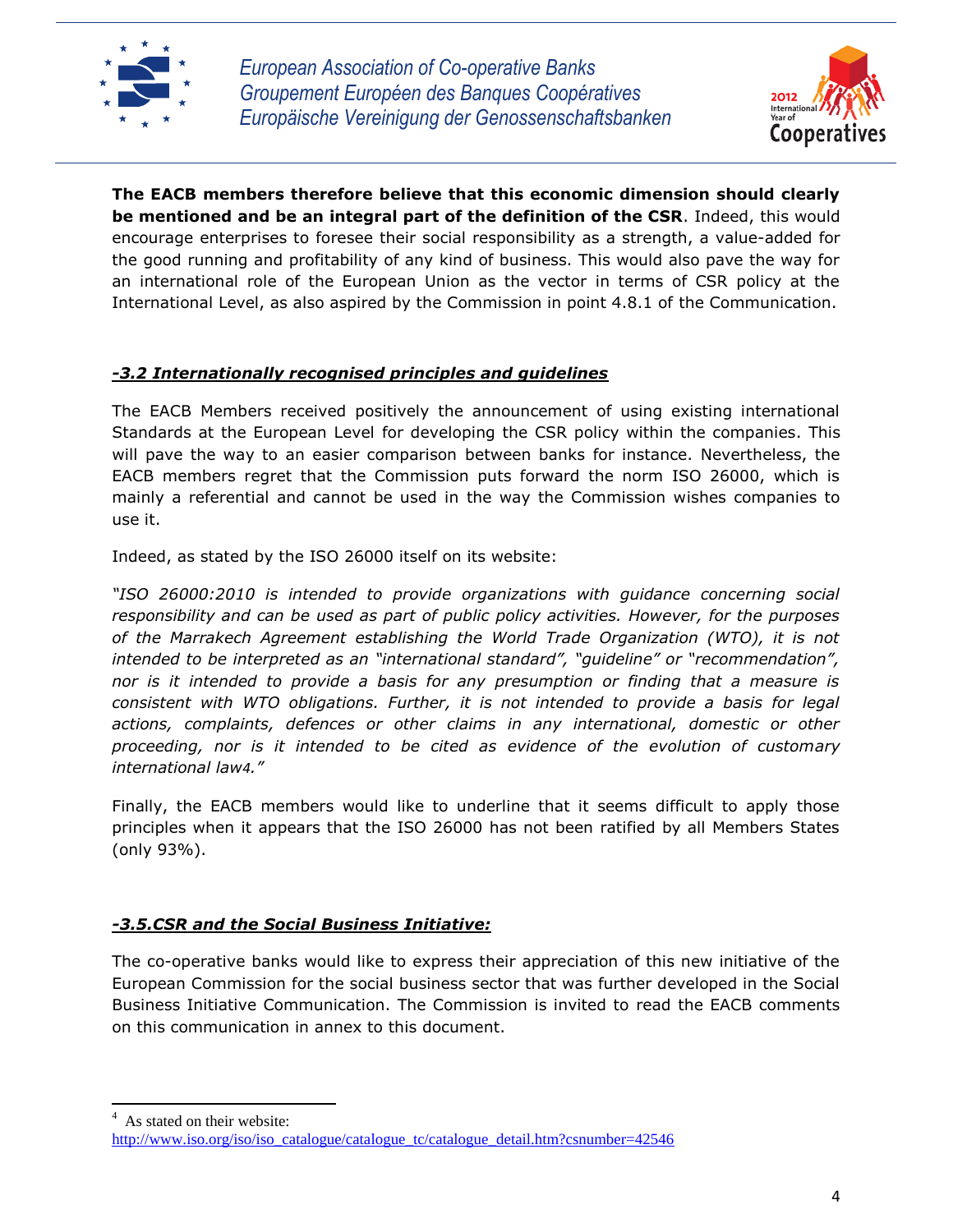



**The EACB members therefore believe that this economic dimension should clearly be mentioned and be an integral part of the definition of the CSR**. Indeed, this would encourage enterprises to foresee their social responsibility as a strength, a value-added for the good running and profitability of any kind of business. This would also pave the way for an international role of the European Union as the vector in terms of CSR policy at the International Level, as also aspired by the Commission in point 4.8.1 of the Communication.

# *-3.2 Internationally recognised principles and guidelines*

The EACB Members received positively the announcement of using existing international Standards at the European Level for developing the CSR policy within the companies. This will pave the way to an easier comparison between banks for instance. Nevertheless, the EACB members regret that the Commission puts forward the norm ISO 26000, which is mainly a referential and cannot be used in the way the Commission wishes companies to use it.

Indeed, as stated by the ISO 26000 itself on its website:

*"ISO 26000:2010 is intended to provide organizations with guidance concerning social responsibility and can be used as part of public policy activities. However, for the purposes of the Marrakech Agreement establishing the World Trade Organization (WTO), it is not intended to be interpreted as an "international standard", "guideline" or "recommendation", nor is it intended to provide a basis for any presumption or finding that a measure is consistent with WTO obligations. Further, it is not intended to provide a basis for legal actions, complaints, defences or other claims in any international, domestic or other proceeding, nor is it intended to be cited as evidence of the evolution of customary international law4."*

Finally, the EACB members would like to underline that it seems difficult to apply those principles when it appears that the ISO 26000 has not been ratified by all Members States (only 93%).

## *-3.5.CSR and the Social Business Initiative:*

The co-operative banks would like to express their appreciation of this new initiative of the European Commission for the social business sector that was further developed in the Social Business Initiative Communication. The Commission is invited to read the EACB comments on this communication in annex to this document.

<sup>4</sup> As stated on their website:

 $\overline{\phantom{a}}$ 

[http://www.iso.org/iso/iso\\_catalogue/catalogue\\_tc/catalogue\\_detail.htm?csnumber=42546](http://www.iso.org/iso/iso_catalogue/catalogue_tc/catalogue_detail.htm?csnumber=42546)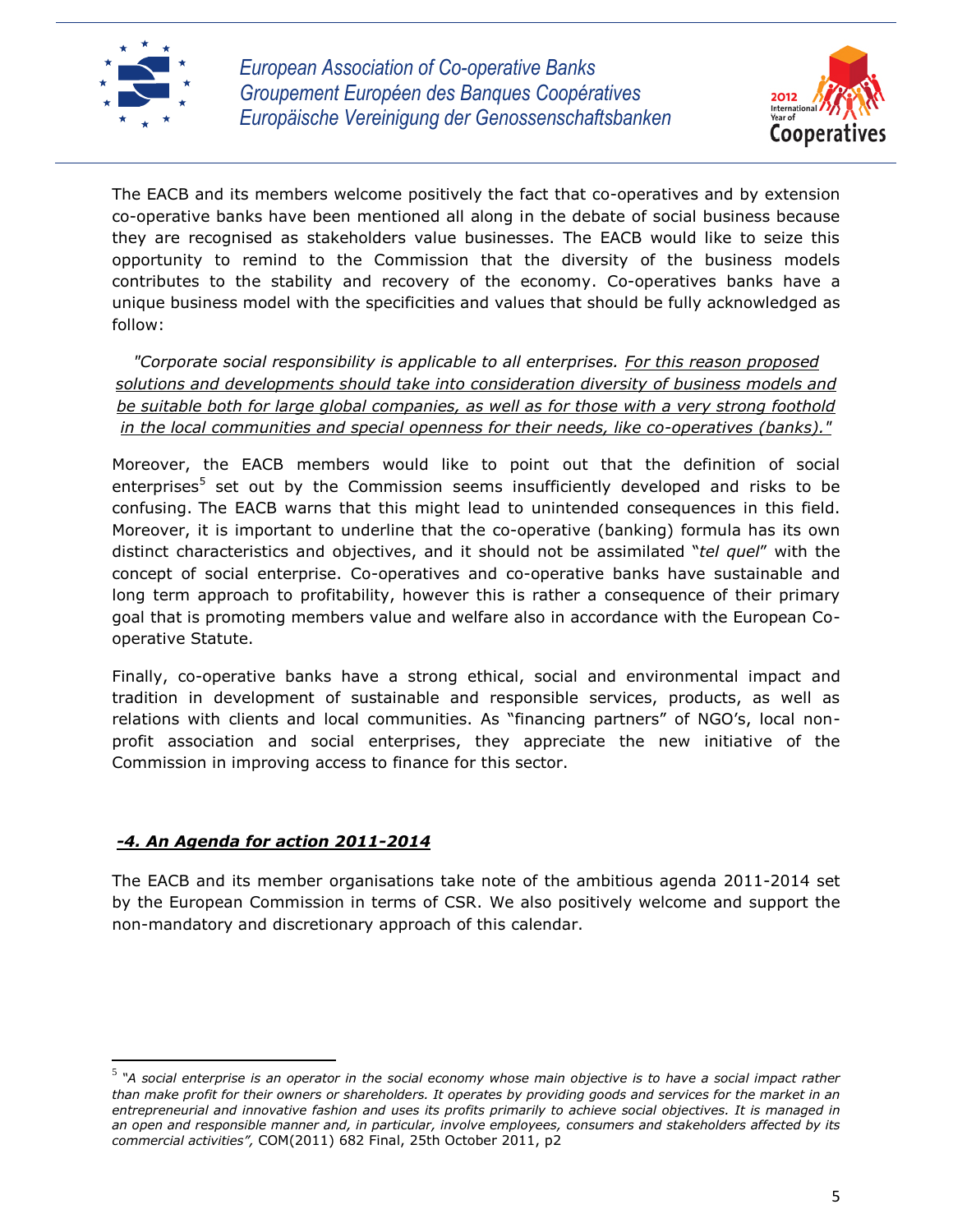



The EACB and its members welcome positively the fact that co-operatives and by extension co-operative banks have been mentioned all along in the debate of social business because they are recognised as stakeholders value businesses. The EACB would like to seize this opportunity to remind to the Commission that the diversity of the business models contributes to the stability and recovery of the economy. Co-operatives banks have a unique business model with the specificities and values that should be fully acknowledged as follow:

*"Corporate social responsibility is applicable to all enterprises. For this reason proposed solutions and developments should take into consideration diversity of business models and be suitable both for large global companies, as well as for those with a very strong foothold in the local communities and special openness for their needs, like co-operatives (banks)."*

Moreover, the EACB members would like to point out that the definition of social enterprises<sup>5</sup> set out by the Commission seems insufficiently developed and risks to be confusing. The EACB warns that this might lead to unintended consequences in this field. Moreover, it is important to underline that the co-operative (banking) formula has its own distinct characteristics and objectives, and it should not be assimilated "*tel quel*" with the concept of social enterprise. Co-operatives and co-operative banks have sustainable and long term approach to profitability, however this is rather a consequence of their primary goal that is promoting members value and welfare also in accordance with the European Cooperative Statute.

Finally, co-operative banks have a strong ethical, social and environmental impact and tradition in development of sustainable and responsible services, products, as well as relations with clients and local communities. As "financing partners" of NGO's, local nonprofit association and social enterprises, they appreciate the new initiative of the Commission in improving access to finance for this sector.

# *-4. An Agenda for action 2011-2014*

l

The EACB and its member organisations take note of the ambitious agenda 2011-2014 set by the European Commission in terms of CSR. We also positively welcome and support the non-mandatory and discretionary approach of this calendar.

<sup>5</sup> *"A social enterprise is an operator in the social economy whose main objective is to have a social impact rather than make profit for their owners or shareholders. It operates by providing goods and services for the market in an entrepreneurial and innovative fashion and uses its profits primarily to achieve social objectives. It is managed in an open and responsible manner and, in particular, involve employees, consumers and stakeholders affected by its commercial activities",* COM(2011) 682 Final, 25th October 2011, p2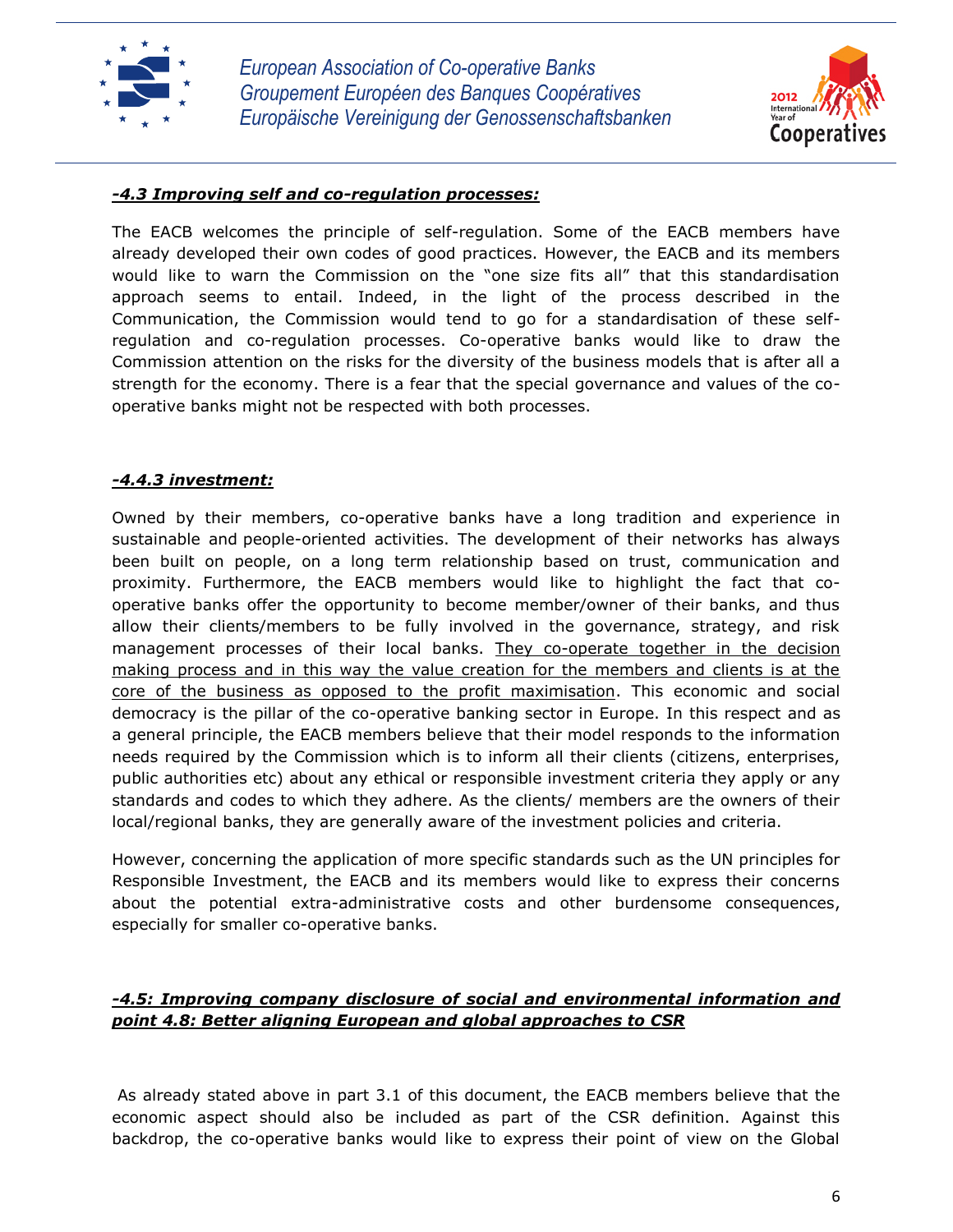



#### *-4.3 Improving self and co-regulation processes:*

The EACB welcomes the principle of self-regulation. Some of the EACB members have already developed their own codes of good practices. However, the EACB and its members would like to warn the Commission on the "one size fits all" that this standardisation approach seems to entail. Indeed, in the light of the process described in the Communication, the Commission would tend to go for a standardisation of these selfregulation and co-regulation processes. Co-operative banks would like to draw the Commission attention on the risks for the diversity of the business models that is after all a strength for the economy. There is a fear that the special governance and values of the cooperative banks might not be respected with both processes.

#### *-4.4.3 investment:*

Owned by their members, co-operative banks have a long tradition and experience in sustainable and people-oriented activities. The development of their networks has always been built on people, on a long term relationship based on trust, communication and proximity. Furthermore, the EACB members would like to highlight the fact that cooperative banks offer the opportunity to become member/owner of their banks, and thus allow their clients/members to be fully involved in the governance, strategy, and risk management processes of their local banks. They co-operate together in the decision making process and in this way the value creation for the members and clients is at the core of the business as opposed to the profit maximisation. This economic and social democracy is the pillar of the co-operative banking sector in Europe. In this respect and as a general principle, the EACB members believe that their model responds to the information needs required by the Commission which is to inform all their clients (citizens, enterprises, public authorities etc) about any ethical or responsible investment criteria they apply or any standards and codes to which they adhere. As the clients/ members are the owners of their local/regional banks, they are generally aware of the investment policies and criteria.

However, concerning the application of more specific standards such as the UN principles for Responsible Investment, the EACB and its members would like to express their concerns about the potential extra-administrative costs and other burdensome consequences, especially for smaller co-operative banks.

## *-4.5: Improving company disclosure of social and environmental information and point 4.8: Better aligning European and global approaches to CSR*

As already stated above in part 3.1 of this document, the EACB members believe that the economic aspect should also be included as part of the CSR definition. Against this backdrop, the co-operative banks would like to express their point of view on the Global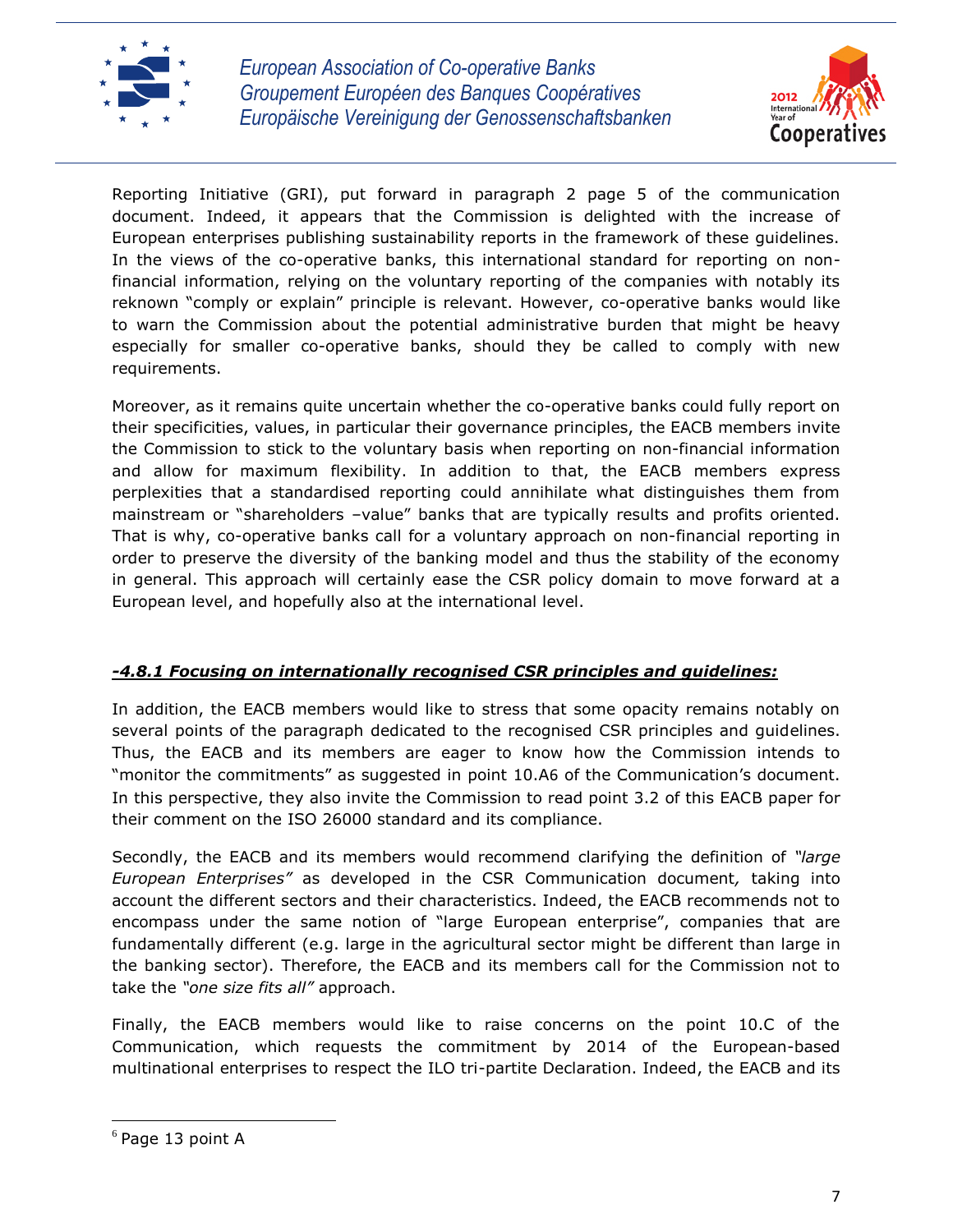



Reporting Initiative (GRI), put forward in paragraph 2 page 5 of the communication document. Indeed, it appears that the Commission is delighted with the increase of European enterprises publishing sustainability reports in the framework of these guidelines. In the views of the co-operative banks, this international standard for reporting on nonfinancial information, relying on the voluntary reporting of the companies with notably its reknown "comply or explain" principle is relevant. However, co-operative banks would like to warn the Commission about the potential administrative burden that might be heavy especially for smaller co-operative banks, should they be called to comply with new requirements.

Moreover, as it remains quite uncertain whether the co-operative banks could fully report on their specificities, values, in particular their governance principles, the EACB members invite the Commission to stick to the voluntary basis when reporting on non-financial information and allow for maximum flexibility. In addition to that, the EACB members express perplexities that a standardised reporting could annihilate what distinguishes them from mainstream or "shareholders –value" banks that are typically results and profits oriented. That is why, co-operative banks call for a voluntary approach on non-financial reporting in order to preserve the diversity of the banking model and thus the stability of the economy in general. This approach will certainly ease the CSR policy domain to move forward at a European level, and hopefully also at the international level.

# *-4.8.1 Focusing on internationally recognised CSR principles and guidelines:*

In addition, the EACB members would like to stress that some opacity remains notably on several points of the paragraph dedicated to the recognised CSR principles and guidelines. Thus, the EACB and its members are eager to know how the Commission intends to "monitor the commitments" as suggested in point 10.A6 of the Communication's document. In this perspective, they also invite the Commission to read point 3.2 of this EACB paper for their comment on the ISO 26000 standard and its compliance.

Secondly, the EACB and its members would recommend clarifying the definition of *"large European Enterprises"* as developed in the CSR Communication document*,* taking into account the different sectors and their characteristics. Indeed, the EACB recommends not to encompass under the same notion of "large European enterprise", companies that are fundamentally different (e.g. large in the agricultural sector might be different than large in the banking sector). Therefore, the EACB and its members call for the Commission not to take the *"one size fits all"* approach.

Finally, the EACB members would like to raise concerns on the point 10.C of the Communication, which requests the commitment by 2014 of the European-based multinational enterprises to respect the ILO tri-partite Declaration. Indeed, the EACB and its

 $\overline{\phantom{a}}$ 

 $<sup>6</sup>$  Page 13 point A</sup>